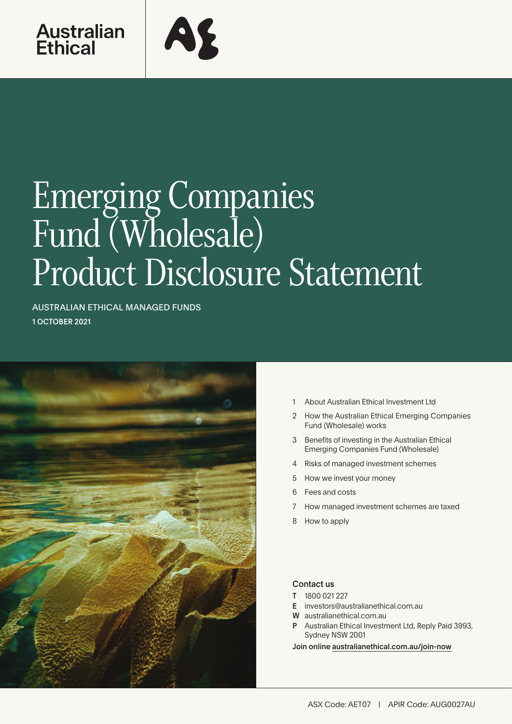

# Emerging Companies Fund (Wholesale) Product Disclosure Statement

AUSTRALIAN ETHICAL MANAGED FUNDS 1 OCTOBER 2021



- 1 About Australian Ethical Investment Ltd
- 2 [How the Australian Ethical Emerging Companies](#page-1-0)  [Fund \(Wholesale\) works](#page-1-0)
- 3 [Benefits of investing in the Australian Ethical](#page-2-0)  [Emerging Companies Fund \(Wholesale\)](#page-2-0)
- [4 Risks of managed investment schemes](#page-4-0)
- 5 [How we invest your money](#page-4-0)
- 6 [Fees and costs](#page-5-0)
- 7 [How managed investment schemes are taxed](#page-6-0)
- 8 [How to apply](#page-7-0)

# Contact us

- T 1800 021 227
- E investors@australianethical.com.au
- W [australianethical.com.au](http://members@australianethical.com.au)
- Australian Ethical Investment Ltd, Reply Paid 3993, Sydney NSW 2001

Join online [australianethical.com.au/join-now](http://australianethical.com.au/join-now)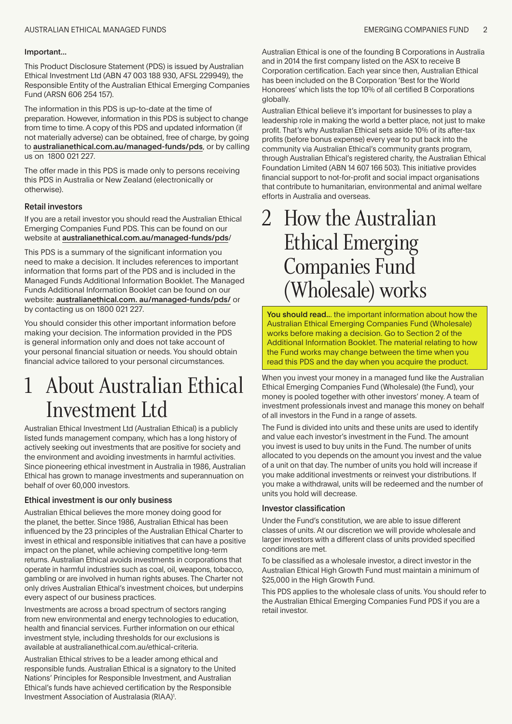#### <span id="page-1-0"></span>Important...

This Product Disclosure Statement (PDS) is issued by Australian Ethical Investment Ltd (ABN 47 003 188 930, AFSL 229949), the Responsible Entity of the Australian Ethical Emerging Companies Fund (ARSN 606 254 157).

The information in this PDS is up-to-date at the time of preparation. However, information in this PDS is subject to change from time to time. A copy of this PDS and updated information (if not materially adverse) can be obtained, free of charge, by going to australianethical.com.au/managed-funds/pds, or by calling us on 1800 021 227.

The offer made in this PDS is made only to persons receiving this PDS in Australia or New Zealand (electronically or otherwise).

### Retail investors

If you are a retail investor you should read the Australian Ethical Emerging Companies Fund PDS. This can be found on our website at australianethical.com.au/managed-funds/pds/

This PDS is a summary of the significant information you need to make a decision. It includes references to important information that forms part of the PDS and is included in the Managed Funds Additional Information Booklet. The Managed Funds Additional Information Booklet can be found on our website: australianethical.com. au/managed-funds/pds/ or by contacting us on 1800 021 227.

You should consider this other important information before making your decision. The information provided in the PDS is general information only and does not take account of your personal financial situation or needs. You should obtain financial advice tailored to your personal circumstances.

# 1 About Australian Ethical Investment Ltd

Australian Ethical Investment Ltd (Australian Ethical) is a publicly listed funds management company, which has a long history of actively seeking out investments that are positive for society and the environment and avoiding investments in harmful activities. Since pioneering ethical investment in Australia in 1986, Australian Ethical has grown to manage investments and superannuation on behalf of over 60,000 investors.

# Ethical investment is our only business

Australian Ethical believes the more money doing good for the planet, the better. Since 1986, Australian Ethical has been influenced by the 23 principles of the Australian Ethical Charter to invest in ethical and responsible initiatives that can have a positive impact on the planet, while achieving competitive long-term returns. Australian Ethical avoids investments in corporations that operate in harmful industries such as coal, oil, weapons, tobacco, gambling or are involved in human rights abuses. The Charter not only drives Australian Ethical's investment choices, but underpins every aspect of our business practices.

Investments are across a broad spectrum of sectors ranging from new environmental and energy technologies to education, health and financial services. Further information on our ethical investment style, including thresholds for our exclusions is available at australianethical.com.au/ethical-criteria.

Australian Ethical strives to be a leader among ethical and responsible funds. Australian Ethical is a signatory to the United Nations' Principles for Responsible Investment, and Australian Ethical's funds have achieved certification by the Responsible Investment Association of Australasia (RIAA)<sup>1</sup>.

Australian Ethical is one of the founding B Corporations in Australia and in 2014 the first company listed on the ASX to receive B Corporation certification. Each year since then, Australian Ethical has been included on the B Corporation 'Best for the World Honorees' which lists the top 10% of all certified B Corporations globally.

Australian Ethical believe it's important for businesses to play a leadership role in making the world a better place, not just to make profit. That's why Australian Ethical sets aside 10% of its after-tax profits (before bonus expense) every year to put back into the community via Australian Ethical's community grants program, through Australian Ethical's registered charity, the Australian Ethical Foundation Limited (ABN 14 607 166 503). This initiative provides financial support to not-for-profit and social impact organisations that contribute to humanitarian, environmental and animal welfare efforts in Australia and overseas.

# **2 How the Australian** Ethical Emerging Companies Fund (Wholesale) works

You should read... the important information about how the Australian Ethical Emerging Companies Fund (Wholesale) works before making a decision. Go to Section 2 of the Additional Information Booklet. The material relating to how the Fund works may change between the time when you read this PDS and the day when you acquire the product.

When you invest your money in a managed fund like the Australian Ethical Emerging Companies Fund (Wholesale) (the Fund), your money is pooled together with other investors' money. A team of investment professionals invest and manage this money on behalf of all investors in the Fund in a range of assets.

The Fund is divided into units and these units are used to identify and value each investor's investment in the Fund. The amount you invest is used to buy units in the Fund. The number of units allocated to you depends on the amount you invest and the value of a unit on that day. The number of units you hold will increase if you make additional investments or reinvest your distributions. If you make a withdrawal, units will be redeemed and the number of units you hold will decrease.

#### Investor classification

Under the Fund's constitution, we are able to issue different classes of units. At our discretion we will provide wholesale and larger investors with a different class of units provided specified conditions are met.

To be classified as a wholesale investor, a direct investor in the Australian Ethical High Growth Fund must maintain a minimum of \$25,000 in the High Growth Fund.

This PDS applies to the wholesale class of units. You should refer to the Australian Ethical Emerging Companies Fund PDS if you are a retail investor.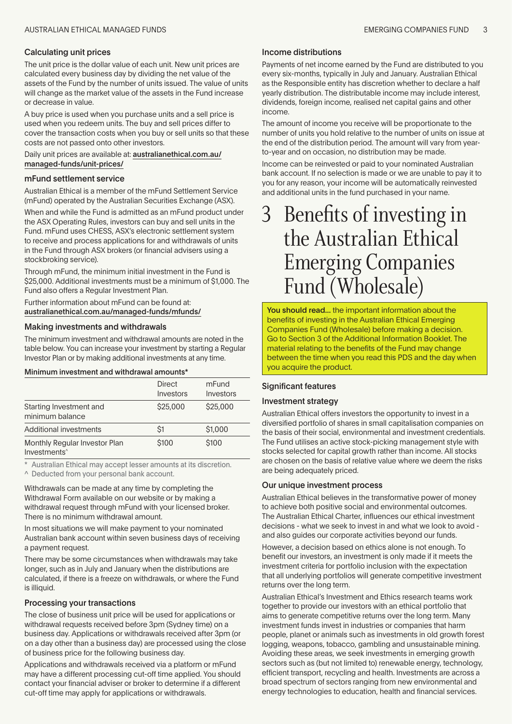### <span id="page-2-0"></span>Calculating unit prices

The unit price is the dollar value of each unit. New unit prices are calculated every business day by dividing the net value of the assets of the Fund by the number of units issued. The value of units will change as the market value of the assets in the Fund increase or decrease in value.

A buy price is used when you purchase units and a sell price is used when you redeem units. The buy and sell prices differ to cover the transaction costs when you buy or sell units so that these costs are not passed onto other investors.

Daily unit prices are available at: australianethical.com.au/ managed-funds/unit-prices/

#### mFund settlement service

Australian Ethical is a member of the mFund Settlement Service (mFund) operated by the Australian Securities Exchange (ASX).

When and while the Fund is admitted as an mFund product under the ASX Operating Rules, investors can buy and sell units in the Fund. mFund uses CHESS, ASX's electronic settlement system to receive and process applications for and withdrawals of units in the Fund through ASX brokers (or financial advisers using a stockbroking service).

Through mFund, the minimum initial investment in the Fund is \$25,000. Additional investments must be a minimum of \$1,000. The Fund also offers a Regular Investment Plan.

Further information about mFund can be found at: australianethical.com.au/managed-funds/mfunds/

#### Making investments and withdrawals

The minimum investment and withdrawal amounts are noted in the table below. You can increase your investment by starting a Regular Investor Plan or by making additional investments at any time.

Minimum investment and withdrawal amounts\*

|                                                           | <b>Direct</b><br>Investors | mFund<br>Investors |
|-----------------------------------------------------------|----------------------------|--------------------|
| Starting Investment and<br>minimum balance                | \$25,000                   | \$25,000           |
| Additional investments                                    | Ŝ1                         | \$1,000            |
| Monthly Regular Investor Plan<br>Investments <sup>^</sup> | \$100                      | \$100              |

\* Australian Ethical may accept lesser amounts at its discretion.

^ Deducted from your personal bank account.

Withdrawals can be made at any time by completing the Withdrawal Form available on our website or by making a withdrawal request through mFund with your licensed broker. There is no minimum withdrawal amount.

In most situations we will make payment to your nominated Australian bank account within seven business days of receiving a payment request.

There may be some circumstances when withdrawals may take longer, such as in July and January when the distributions are calculated, if there is a freeze on withdrawals, or where the Fund is illiquid.

#### Processing your transactions

The close of business unit price will be used for applications or withdrawal requests received before 3pm (Sydney time) on a business day. Applications or withdrawals received after 3pm (or on a day other than a business day) are processed using the close of business price for the following business day.

Applications and withdrawals received via a platform or mFund may have a different processing cut-off time applied. You should contact your financial adviser or broker to determine if a different cut-off time may apply for applications or withdrawals.

#### Income distributions

Payments of net income earned by the Fund are distributed to you every six-months, typically in July and January. Australian Ethical as the Responsible entity has discretion whether to declare a half yearly distribution. The distributable income may include interest, dividends, foreign income, realised net capital gains and other income.

The amount of income you receive will be proportionate to the number of units you hold relative to the number of units on issue at the end of the distribution period. The amount will vary from yearto-year and on occasion, no distribution may be made.

Income can be reinvested or paid to your nominated Australian bank account. If no selection is made or we are unable to pay it to you for any reason, your income will be automatically reinvested and additional units in the fund purchased in your name.

# 3 Benefits of investing in the Australian Ethical Emerging Companies Fund (Wholesale)

You should read... the important information about the benefits of investing in the Australian Ethical Emerging Companies Fund (Wholesale) before making a decision. Go to Section 3 of the Additional Information Booklet. The material relating to the benefits of the Fund may change between the time when you read this PDS and the day when you acquire the product.

#### Significant features

### Investment strategy

Australian Ethical offers investors the opportunity to invest in a diversified portfolio of shares in small capitalisation companies on the basis of their social, environmental and investment credentials. The Fund utilises an active stock-picking management style with stocks selected for capital growth rather than income. All stocks are chosen on the basis of relative value where we deem the risks are being adequately priced.

### Our unique investment process

Australian Ethical believes in the transformative power of money to achieve both positive social and environmental outcomes. The Australian Ethical Charter, influences our ethical investment decisions - what we seek to invest in and what we look to avoid and also guides our corporate activities beyond our funds.

However, a decision based on ethics alone is not enough. To benefit our investors, an investment is only made if it meets the investment criteria for portfolio inclusion with the expectation that all underlying portfolios will generate competitive investment returns over the long term.

Australian Ethical's Investment and Ethics research teams work together to provide our investors with an ethical portfolio that aims to generate competitive returns over the long term. Many investment funds invest in industries or companies that harm people, planet or animals such as investments in old growth forest logging, weapons, tobacco, gambling and unsustainable mining. Avoiding these areas, we seek investments in emerging growth sectors such as (but not limited to) renewable energy, technology, efficient transport, recycling and health. Investments are across a broad spectrum of sectors ranging from new environmental and energy technologies to education, health and financial services.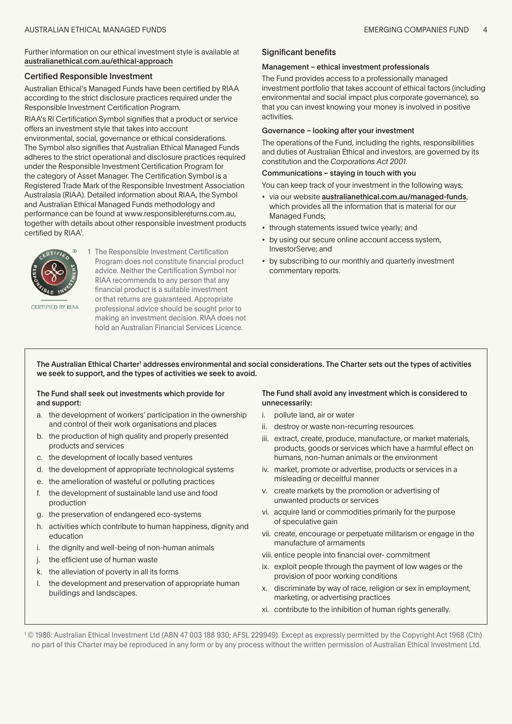Further information on our ethical investment style is available at australianethical.com.au/ethical-approach

#### Certified Responsible Investment

Australian Ethical's Managed Funds have been certified by RIAA according to the strict disclosure practices required under the Responsible Investment Certification Program.

RIAA's RI Certification Symbol signifies that a product or service offers an investment style that takes into account environmental, social, governance or ethical considerations. The Symbol also signifies that Australian Ethical Managed Funds adheres to the strict operational and disclosure practices required under the Responsible Investment Certification Program for the category of Asset Manager. The Certification Symbol is a Registered Trade Mark of the Responsible Investment Association Australasia (RIAA). Detailed information about RIAA, the Symbol and Australian Ethical Managed Funds methodology and performance can be found at www.responsiblereturns.com.au, together with details about other responsible investment products certified by RIAA1 .



1 The Responsible Investment Certification Program does not constitute financial product advice. Neither the Certification Symbol nor RIAA recommends to any person that any financial product is a suitable investment or that returns are guaranteed. Appropriate professional advice should be sought prior to making an investment decision. RIAA does not hold an Australian Financial Services Licence.

CERTIFIED BY RIAA

The Australian Ethical Charter<sup>1</sup> addresses environmental and social considerations. The Charter sets out the types of activities we seek to support, and the types of activities we seek to avoid.

### The Fund shall seek out investments which provide for and support:

- a. the development of workers' participation in the ownership and control of their work organisations and places
- b. the production of high quality and properly presented products and services
- c. the development of locally based ventures
- d. the development of appropriate technological systems
- e. the amelioration of wasteful or polluting practices
- f. the development of sustainable land use and food production
- g. the preservation of endangered eco-systems
- h. activities which contribute to human happiness, dignity and education
- i. the dignity and well-being of non-human animals
- j. the efficient use of human waste
- k. the alleviation of poverty in all its forms
- l. the development and preservation of appropriate human buildings and landscapes.

#### The Fund shall avoid any investment which is considered to unnecessarily:

- i. pollute land, air or water
- ii. destroy or waste non-recurring resources
- iii. extract, create, produce, manufacture, or market materials, products, goods or services which have a harmful effect on humans, non-human animals or the environment
- iv. market, promote or advertise, products or services in a misleading or deceitful manner
- v. create markets by the promotion or advertising of unwanted products or services
- vi. acquire land or commodities primarily for the purpose of speculative gain
- vii. create, encourage or perpetuate militarism or engage in the manufacture of armaments
- viii. entice people into financial over- commitment
- ix. exploit people through the payment of low wages or the provision of poor working conditions
- x. discriminate by way of race, religion or sex in employment, marketing, or advertising practices
- xi. contribute to the inhibition of human rights generally.

1 © 1986: Australian Ethical Investment Ltd (ABN 47 003 188 930; AFSL 229949). Except as expressly permitted by the Copyright Act 1968 (Cth) no part of this Charter may be reproduced in any form or by any process without the written permission of Australian Ethical Investment Ltd.

#### Significant benefits

#### Management – ethical investment professionals

The Fund provides access to a professionally managed investment portfolio that takes account of ethical factors (including environmental and social impact plus corporate governance), so that you can invest knowing your money is involved in positive activities.

#### Governance – looking after your investment

The operations of the Fund, including the rights, responsibilities and duties of Australian Ethical and investors, are governed by its constitution and the *Corporations Act 2001*.

### Communications – staying in touch with you

You can keep track of your investment in the following ways;

- via our website australianethical.com.au/managed-funds, which provides all the information that is material for our Managed Funds;
- through statements issued twice yearly; and
- by using our secure online account access system, InvestorServe; and
- by subscribing to our monthly and quarterly investment commentary reports.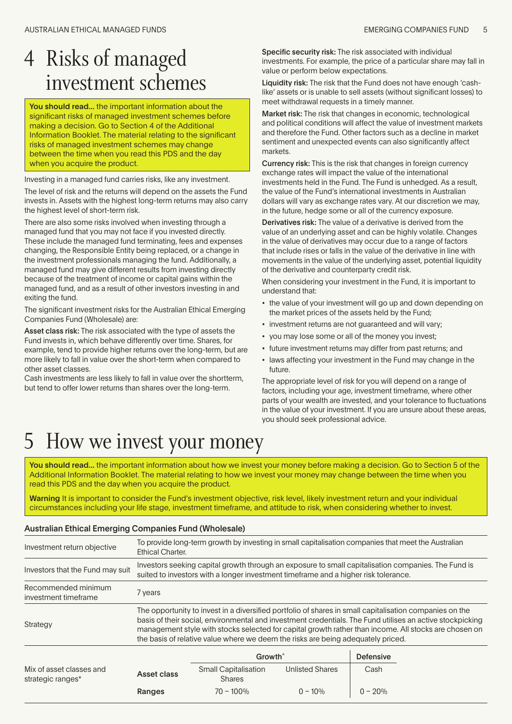# <span id="page-4-0"></span>4 Risks of managed investment schemes

You should read... the important information about the significant risks of managed investment schemes before making a decision. Go to Section 4 of the Additional Information Booklet. The material relating to the significant risks of managed investment schemes may change between the time when you read this PDS and the day when you acquire the product.

Investing in a managed fund carries risks, like any investment.

The level of risk and the returns will depend on the assets the Fund invests in. Assets with the highest long-term returns may also carry the highest level of short-term risk.

There are also some risks involved when investing through a managed fund that you may not face if you invested directly. These include the managed fund terminating, fees and expenses changing, the Responsible Entity being replaced, or a change in the investment professionals managing the fund. Additionally, a managed fund may give different results from investing directly because of the treatment of income or capital gains within the managed fund, and as a result of other investors investing in and exiting the fund.

The significant investment risks for the Australian Ethical Emerging Companies Fund (Wholesale) are:

Asset class risk: The risk associated with the type of assets the Fund invests in, which behave differently over time. Shares, for example, tend to provide higher returns over the long-term, but are more likely to fall in value over the short-term when compared to other asset classes.

Cash investments are less likely to fall in value over the shortterm, but tend to offer lower returns than shares over the long-term.

Specific security risk: The risk associated with individual investments. For example, the price of a particular share may fall in value or perform below expectations.

Liquidity risk: The risk that the Fund does not have enough 'cashlike' assets or is unable to sell assets (without significant losses) to meet withdrawal requests in a timely manner.

Market risk: The risk that changes in economic, technological and political conditions will affect the value of investment markets and therefore the Fund. Other factors such as a decline in market sentiment and unexpected events can also significantly affect markets.

Currency risk: This is the risk that changes in foreign currency exchange rates will impact the value of the international investments held in the Fund. The Fund is unhedged. As a result, the value of the Fund's international investments in Australian dollars will vary as exchange rates vary. At our discretion we may, in the future, hedge some or all of the currency exposure.

Derivatives risk: The value of a derivative is derived from the value of an underlying asset and can be highly volatile. Changes in the value of derivatives may occur due to a range of factors that include rises or falls in the value of the derivative in line with movements in the value of the underlying asset, potential liquidity of the derivative and counterparty credit risk.

When considering your investment in the Fund, it is important to understand that:

- the value of your investment will go up and down depending on the market prices of the assets held by the Fund;
- investment returns are not guaranteed and will vary;
- you may lose some or all of the money you invest;
- future investment returns may differ from past returns; and
- laws affecting your investment in the Fund may change in the future.

The appropriate level of risk for you will depend on a range of factors, including your age, investment timeframe, where other parts of your wealth are invested, and your tolerance to fluctuations in the value of your investment. If you are unsure about these areas, you should seek professional advice.

# 5 How we invest your money

You should read... the important information about how we invest your money before making a decision. Go to Section 5 of the Additional Information Booklet. The material relating to how we invest your money may change between the time when you read this PDS and the day when you acquire the product.

Warning It is important to consider the Fund's investment objective, risk level, likely investment return and your individual circumstances including your life stage, investment timeframe, and attitude to risk, when considering whether to invest.

# Australian Ethical Emerging Companies Fund (Wholesale)

| Investment return objective                 | To provide long-term growth by investing in small capitalisation companies that meet the Australian<br>Ethical Charter.                                                                                                                                                                                                                                                                                           |  |  |
|---------------------------------------------|-------------------------------------------------------------------------------------------------------------------------------------------------------------------------------------------------------------------------------------------------------------------------------------------------------------------------------------------------------------------------------------------------------------------|--|--|
| Investors that the Fund may suit            | Investors seeking capital growth through an exposure to small capitalisation companies. The Fund is<br>suited to investors with a longer investment timeframe and a higher risk tolerance.                                                                                                                                                                                                                        |  |  |
| Recommended minimum<br>investment timeframe | 7 years                                                                                                                                                                                                                                                                                                                                                                                                           |  |  |
| Strategy                                    | The opportunity to invest in a diversified portfolio of shares in small capitalisation companies on the<br>basis of their social, environmental and investment credentials. The Fund utilises an active stockpicking<br>management style with stocks selected for capital growth rather than income. All stocks are chosen on<br>the basis of relative value where we deem the risks are being adequately priced. |  |  |
|                                             |                                                                                                                                                                                                                                                                                                                                                                                                                   |  |  |

|                                               |             | Growth <sup>^</sup>                          |                        | <b>Defensive</b> |
|-----------------------------------------------|-------------|----------------------------------------------|------------------------|------------------|
| Mix of asset classes and<br>strategic ranges* | Asset class | <b>Small Capitalisation</b><br><b>Shares</b> | <b>Unlisted Shares</b> | Cash             |
|                                               | Ranges      | $70 - 100\%$                                 | $0 - 10%$              | $0 - 20%$        |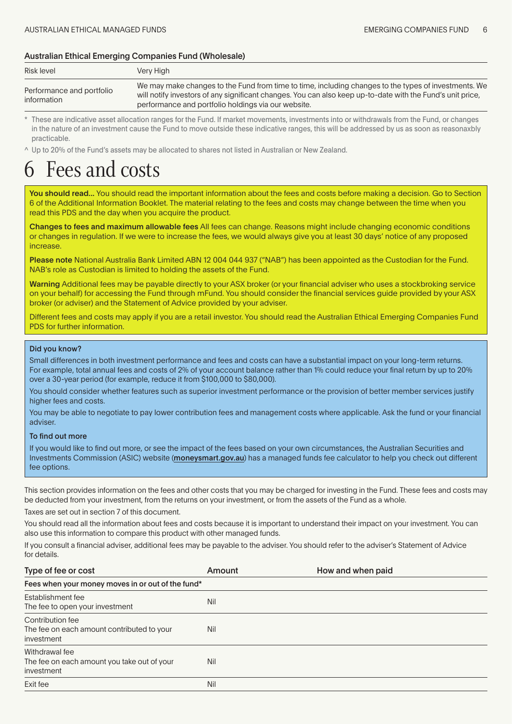# <span id="page-5-0"></span>Australian Ethical Emerging Companies Fund (Wholesale)

| Risk level                               | Verv Hiah                                                                                                                                                                                                                                                                 |
|------------------------------------------|---------------------------------------------------------------------------------------------------------------------------------------------------------------------------------------------------------------------------------------------------------------------------|
| Performance and portfolio<br>information | We may make changes to the Fund from time to time, including changes to the types of investments. We<br>will notify investors of any significant changes. You can also keep up-to-date with the Fund's unit price,<br>performance and portfolio holdings via our website. |

These are indicative asset allocation ranges for the Fund. If market movements, investments into or withdrawals from the Fund, or changes in the nature of an investment cause the Fund to move outside these indicative ranges, this will be addressed by us as soon as reasonaxbly practicable.

^ Up to 20% of the Fund's assets may be allocated to shares not listed in Australian or New Zealand.

# Fees and costs

You should read... You should read the important information about the fees and costs before making a decision. Go to Section 6 of the Additional Information Booklet. The material relating to the fees and costs may change between the time when you read this PDS and the day when you acquire the product.

Changes to fees and maximum allowable fees All fees can change. Reasons might include changing economic conditions or changes in regulation. If we were to increase the fees, we would always give you at least 30 days' notice of any proposed increase.

Please note National Australia Bank Limited ABN 12 004 044 937 ("NAB") has been appointed as the Custodian for the Fund. NAB's role as Custodian is limited to holding the assets of the Fund.

Warning Additional fees may be payable directly to your ASX broker (or your financial adviser who uses a stockbroking service on your behalf) for accessing the Fund through mFund. You should consider the financial services guide provided by your ASX broker (or adviser) and the Statement of Advice provided by your adviser.

Different fees and costs may apply if you are a retail investor. You should read the Australian Ethical Emerging Companies Fund PDS for further information.

# Did you know?

Small differences in both investment performance and fees and costs can have a substantial impact on your long-term returns. For example, total annual fees and costs of 2% of your account balance rather than 1% could reduce your final return by up to 20% over a 30-year period (for example, reduce it from \$100,000 to \$80,000).

You should consider whether features such as superior investment performance or the provision of better member services justify higher fees and costs.

You may be able to negotiate to pay lower contribution fees and management costs where applicable. Ask the fund or your financial adviser.

### To find out more

If you would like to find out more, or see the impact of the fees based on your own circumstances, the Australian Securities and Investments Commission (ASIC) website (moneysmart.gov.au) has a managed funds fee calculator to help you check out different fee options.

This section provides information on the fees and other costs that you may be charged for investing in the Fund. These fees and costs may be deducted from your investment, from the returns on your investment, or from the assets of the Fund as a whole.

Taxes are set out in section 7 of this document.

You should read all the information about fees and costs because it is important to understand their impact on your investment. You can also use this information to compare this product with other managed funds.

If you consult a financial adviser, additional fees may be payable to the adviser. You should refer to the adviser's Statement of Advice for details.

| Type of fee or cost                                                          | Amount | How and when paid |
|------------------------------------------------------------------------------|--------|-------------------|
| Fees when your money moves in or out of the fund*                            |        |                   |
| Establishment fee<br>The fee to open your investment                         | Nil    |                   |
| Contribution fee<br>The fee on each amount contributed to your<br>investment | Nil    |                   |
| Withdrawal fee<br>The fee on each amount you take out of your<br>investment  | Nil    |                   |
| Exit fee                                                                     | Nil    |                   |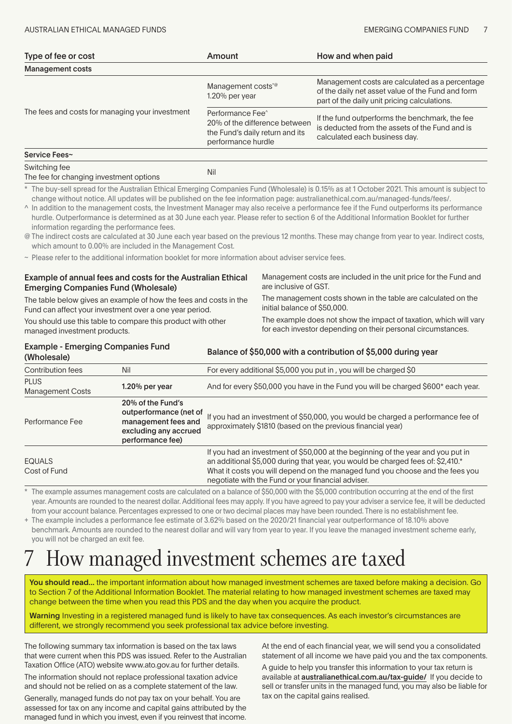<span id="page-6-0"></span>

| Type of fee or cost                             | Amount                                                                                                                 | How and when paid                                                                                                                                    |
|-------------------------------------------------|------------------------------------------------------------------------------------------------------------------------|------------------------------------------------------------------------------------------------------------------------------------------------------|
| <b>Management costs</b>                         |                                                                                                                        |                                                                                                                                                      |
| The fees and costs for managing your investment | Management costs <sup>*@</sup><br>$1.20\%$ per year                                                                    | Management costs are calculated as a percentage<br>of the daily net asset value of the Fund and form<br>part of the daily unit pricing calculations. |
|                                                 | Performance Fee <sup>^</sup><br>20% of the difference between<br>the Fund's daily return and its<br>performance hurdle | If the fund outperforms the benchmark, the fee<br>is deducted from the assets of the Fund and is<br>calculated each business day.                    |
| Service Fees~                                   |                                                                                                                        |                                                                                                                                                      |

| Switching fee                           | Nil |
|-----------------------------------------|-----|
| The fee for changing investment options |     |

\* The buy-sell spread for the Australian Ethical Emerging Companies Fund (Wholesale) is 0.15% as at 1 October 2021. This amount is subject to change without notice. All updates will be published on the fee information page: australianethical.com.au/managed-funds/fees/.

^ In addition to the management costs, the Investment Manager may also receive a performance fee if the Fund outperforms its performance hurdle. Outperformance is determined as at 30 June each year. Please refer to section 6 of the Additional Information Booklet for further information regarding the performance fees.

@ The indirect costs are calculated at 30 June each year based on the previous 12 months. These may change from year to year. Indirect costs, which amount to 0.00% are included in the Management Cost.

~ Please refer to the additional information booklet for more information about adviser service fees.

#### Example of annual fees and costs for the Australian Ethical Emerging Companies Fund (Wholesale) The table below gives an example of how the fees and costs in the Fund can affect your investment over a one year period. You should use this table to compare this product with other managed investment products. Management costs are included in the unit price for the Fund and are inclusive of GST. The management costs shown in the table are calculated on the initial balance of \$50,000. The example does not show the impact of taxation, which will vary for each investor depending on their personal circumstances. Example - Emerging Companies Fund

| $\blacksquare$<br>(Wholesale)          |                                                                                                                 | Balance of \$50,000 with a contribution of \$5,000 during year                                                                                                                                                                                                                                             |  |
|----------------------------------------|-----------------------------------------------------------------------------------------------------------------|------------------------------------------------------------------------------------------------------------------------------------------------------------------------------------------------------------------------------------------------------------------------------------------------------------|--|
| Contribution fees                      | Nil                                                                                                             | For every additional \$5,000 you put in, you will be charged \$0                                                                                                                                                                                                                                           |  |
| <b>PLUS</b><br><b>Management Costs</b> | 1.20% per year                                                                                                  | And for every \$50,000 you have in the Fund you will be charged \$600* each year.                                                                                                                                                                                                                          |  |
| Performance Fee                        | 20% of the Fund's<br>outperformance (net of<br>management fees and<br>excluding any accrued<br>performance fee) | If you had an investment of \$50,000, you would be charged a performance fee of<br>approximately \$1810 (based on the previous financial year)                                                                                                                                                             |  |
| <b>EQUALS</b><br>Cost of Fund          |                                                                                                                 | If you had an investment of \$50,000 at the beginning of the year and you put in<br>an additional \$5,000 during that year, you would be charged fees of: \$2,410.*<br>What it costs you will depend on the managed fund you choose and the fees you<br>negotiate with the Fund or your financial adviser. |  |

The example assumes management costs are calculated on a balance of \$50,000 with the \$5,000 contribution occurring at the end of the first year. Amounts are rounded to the nearest dollar. Additional fees may apply. If you have agreed to pay your adviser a service fee, it will be deducted from your account balance. Percentages expressed to one or two decimal places may have been rounded. There is no establishment fee.

+ The example includes a performance fee estimate of 3.62% based on the 2020/21 financial year outperformance of 18.10% above benchmark. Amounts are rounded to the nearest dollar and will vary from year to year. If you leave the managed investment scheme early, you will not be charged an exit fee.

# How managed investment schemes are taxed

You should read... the important information about how managed investment schemes are taxed before making a decision. Go to Section 7 of the Additional Information Booklet. The material relating to how managed investment schemes are taxed may change between the time when you read this PDS and the day when you acquire the product.

Warning Investing in a registered managed fund is likely to have tax consequences. As each investor's circumstances are different, we strongly recommend you seek professional tax advice before investing.

The following summary tax information is based on the tax laws that were current when this PDS was issued. Refer to the Australian Taxation Office (ATO) website www.ato.gov.au for further details.

The information should not replace professional taxation advice and should not be relied on as a complete statement of the law.

Generally, managed funds do not pay tax on your behalf. You are assessed for tax on any income and capital gains attributed by the managed fund in which you invest, even if you reinvest that income.

At the end of each financial year, we will send you a consolidated statement of all income we have paid you and the tax components.

A guide to help you transfer this information to your tax return is available at australianethical.com.au/tax-guide/ If you decide to sell or transfer units in the managed fund, you may also be liable for tax on the capital gains realised.